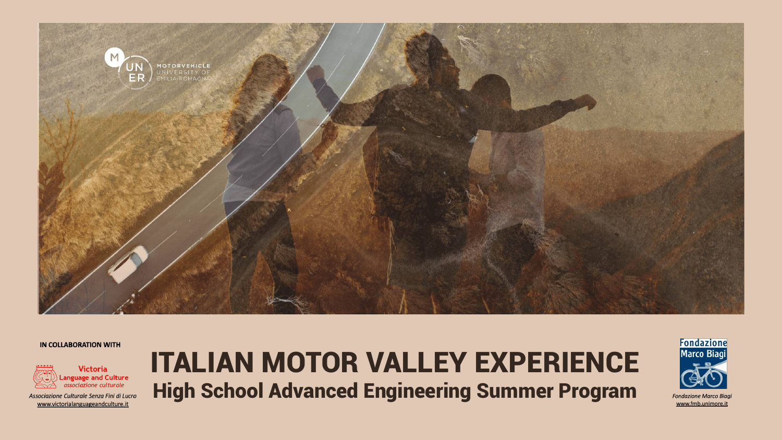

### **IN COLLABORATION WITH**



Associazione Culturale Senza Fini di Lucro www.victorialanguageandculture.it

# ITALIAN MOTOR VALLEY EXPERIENCE High School Advanced Engineering Summer Program



**Fondazione Marco Biagi** www.fmb.unimore.it

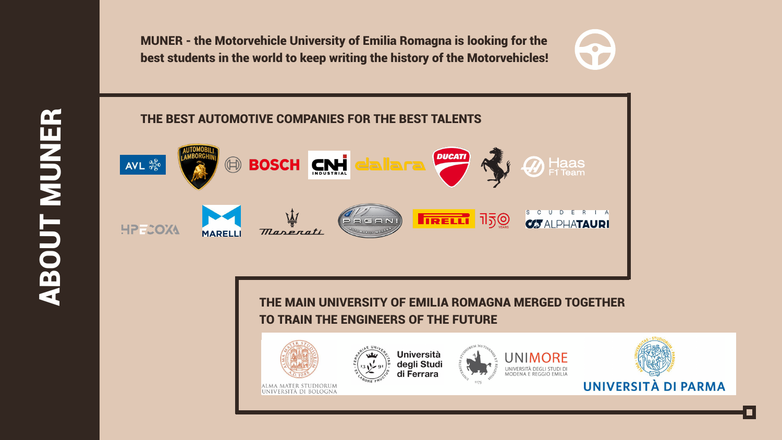MUNER - the Motorvehicle University of Emilia Romagna is looking for the best students in the world to keep writing the history of the Motorvehicles!

**ABOUT MEA ABOUT MUSER** 



## THE MAIN UNIVERSITY OF EMILIA ROMAGNA MERGED TOGETHER TO TRAIN THE ENGINEERS OF THE FUTURE





ALMA MATER STUDIORUM UNIVERSITÀ DI BOLOGNA



**Università** degli Studi<br>di Ferrara







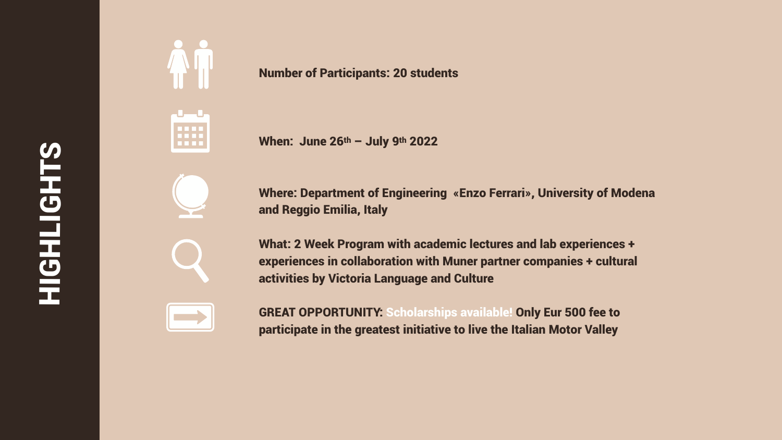# **SHELLER** HIGHTS<br>HOLLOUR



### Number of Participants: 20 students

When: June 26th - July 9th 2022

Where: Department of Engineering «Enzo Ferrari», University of Modena and Reggio Emilia, Italy

What: 2 Week Program with academic lectures and lab experiences + experiences in collaboration with Muner partner companies + cultural activities by Victoria Language and Culture

GREAT OPPORTUNITY: Scholarships available! Only Eur 500 fee to participate in the greatest initiative to live the Italian Motor Valley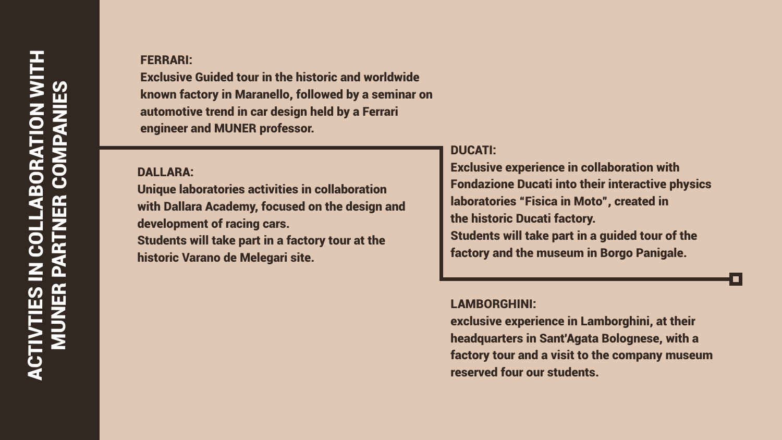# ACTIVTIES IN COLLABORATION WITH **ABORATION WITH** MUNER PARTNER COMPANIES EN COLLAS GOL **MANDINE**

## FERRARI:

Exclusive Guided tour in the historic and worldwide known factory in Maranello, followed by a seminar on automotive trend in car design held by a Ferrari engineer and MUNER professor.

## DUCATI:

Exclusive experience in collaboration with Fondazione Ducati into their interactive physics laboratories "Fisica in Moto", created in the historic Ducati factory. Students will take part in a guided tour of the

factory and the museum in Borgo Panigale.

### DALLARA:

Unique laboratories activities in collaboration with Dallara Academy, focused on the design and development of racing cars. Students will take part in a factory tour at the historic Varano de Melegari site.

### LAMBORGHINI:

exclusive experience in Lamborghini, at their headquarters in Sant'Agata Bolognese, with a factory tour and a visit to the company museum reserved four our students.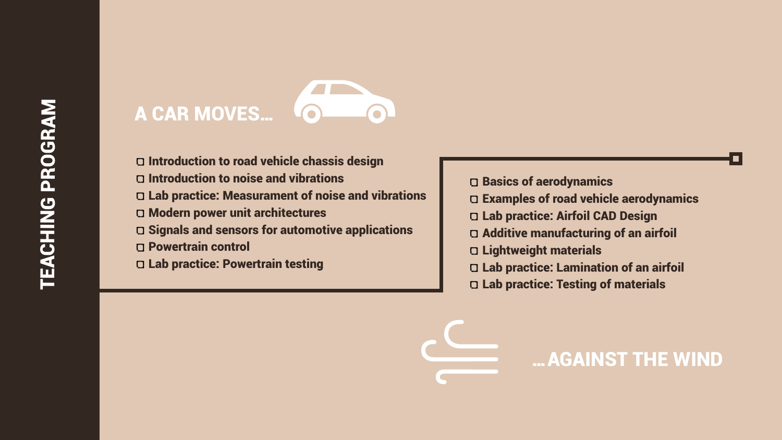- D Introduction to road vehicle chassis design
- Introduction to noise and vibrations
- Lab practice: Measurament of noise and vibrations
- Modern power unit architectures
- Signals and sensors for automotive applications
- Powertrain control
- Lab practice: Powertrain testing



- Basics of aerodynamics
- Examples of road vehicle aerodynamics
- Lab practice: Airfoil CAD Design
- Additive manufacturing of an airfoil
- Lightweight materials
- Lab practice: Lamination of an airfoil
- Lab practice: Testing of materials



# …AGAINST THE WIND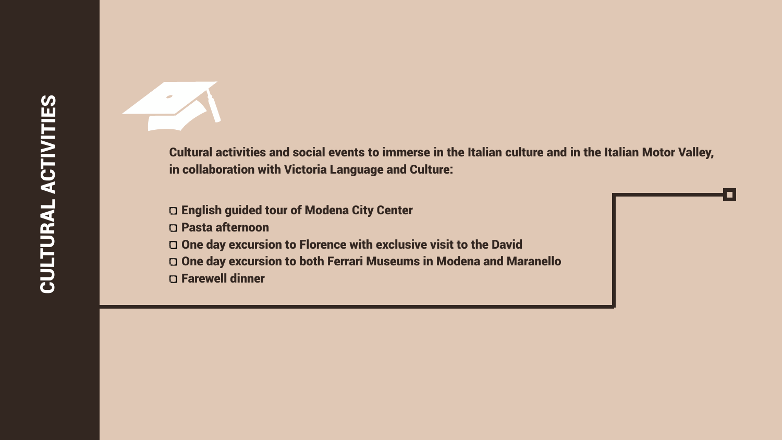Cultural activities and social events to immerse in the Italian culture and in the Italian Motor Valley, in collaboration with Victoria Language and Culture:

- English guided tour of Modena City Center
- Pasta afternoon
- One day excursion to Florence with exclusive visit to the David
- 
- Farewell dinner

One day excursion to both Ferrari Museums in Modena and Maranello

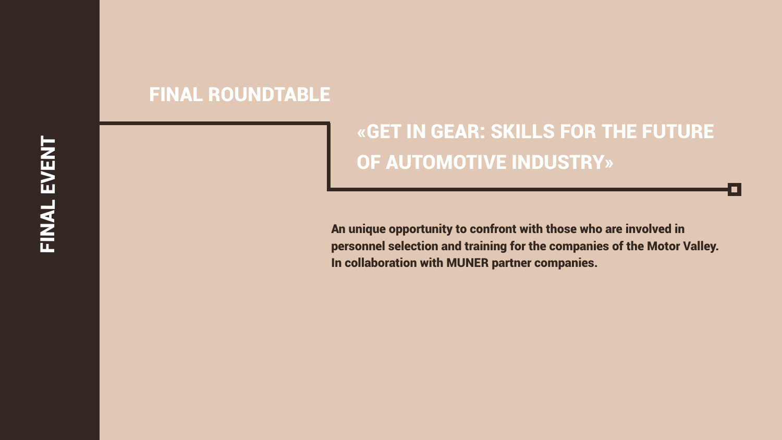



An unique opportunity to confront with those who are involved in personnel selection and training for the companies of the Motor Valley. In collaboration with MUNER partner companies.

# FINAL ROUNDTABLE

# «GET IN GEAR: SKILLS FOR THE FUTURE OF AUTOMOTIVE INDUSTRY»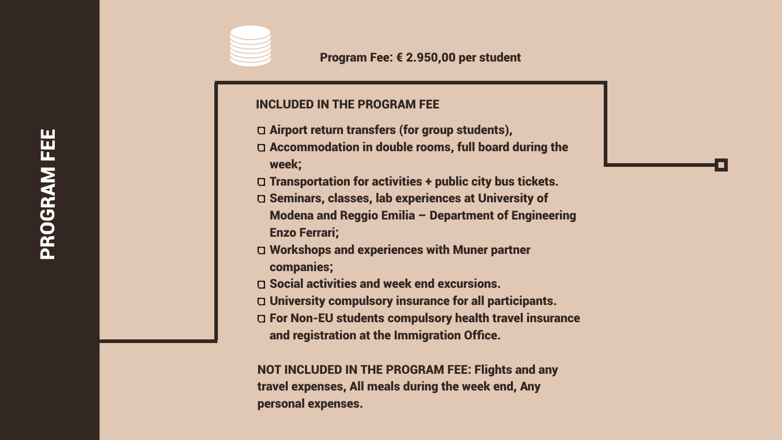# PROGRAM FEE PROGRAM FEE

Program Fee: € 2.950,00 per student



## INCLUDED IN THE PROGRAM FEE

Airport return transfers (for group students), Accommodation in double rooms, full board during the

Transportation for activities + public city bus tickets. Seminars, classes, lab experiences at University of Modena and Reggio Emilia – Department of Engineering

- 
- week;
- 
- Enzo Ferrari;
- companies;
- 
- 
- 

Workshops and experiences with Muner partner

Social activities and week end excursions. University compulsory insurance for all participants. For Non-EU students compulsory health travel insurance and registration at the Immigration Office.

NOT INCLUDED IN THE PROGRAM FEE: Flights and any travel expenses, All meals during the week end, Any personal expenses.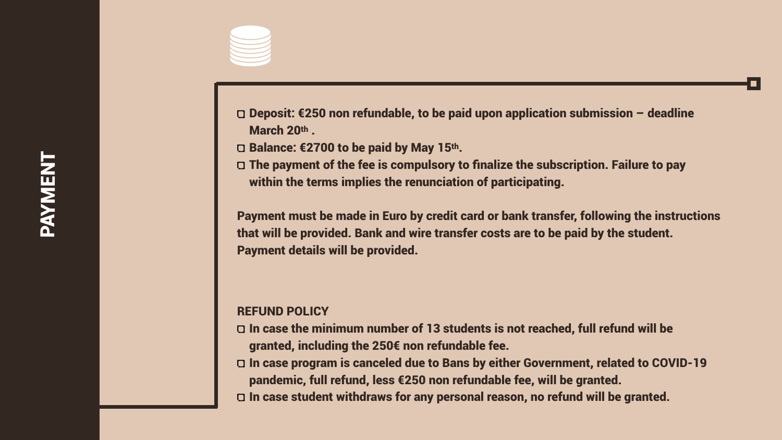Deposit: €250 non refundable, to be paid upon application submission – deadline

- March 20th.
- Balance: €2700 to be paid by May 15th.
- The payment of the fee is compulsory to finalize the subscription. Failure to pay within the terms implies the renunciation of participating.

# PAYMENT **TNENWAY**



Payment must be made in Euro by credit card or bank transfer, following the instructions that will be provided. Bank and wire transfer costs are to be paid by the student. Payment details will be provided.

### REFUND POLICY

- 
- 
- 

In case the minimum number of 13 students is not reached, full refund will be granted, including the 250€ non refundable fee.

In case program is canceled due to Bans by either Government, related to COVID-19 pandemic, full refund, less €250 non refundable fee, will be granted.

In case student withdraws for any personal reason, no refund will be granted.

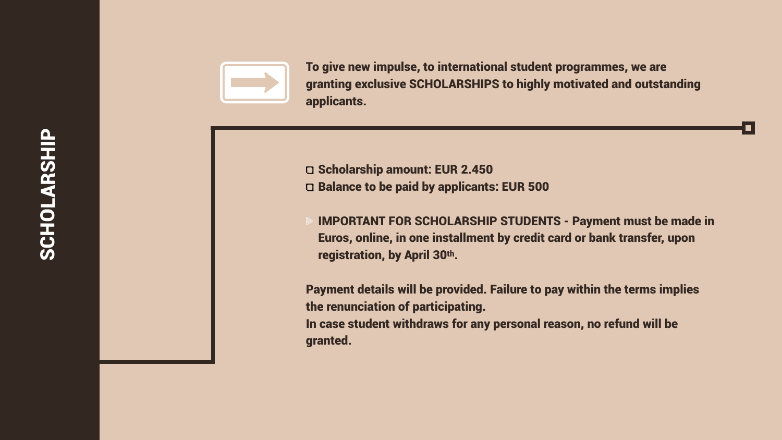



To give new impulse, to international student programmes, we are granting exclusive SCHOLARSHIPS to highly motivated and outstanding applicants.

- G Scholarship amount: EUR 2.450 D Balance to be paid by applicants: EUR 500
	- IMPORTANT FOR SCHOLARSHIP STUDENTS Payment must be made in Euros, online, in one installment by credit card or bank transfer, upon registration, by April 30th.
- Payment details will be provided. Failure to pay within the terms implies the renunciation of participating.
- In case student withdraws for any personal reason, no refund will be



granted.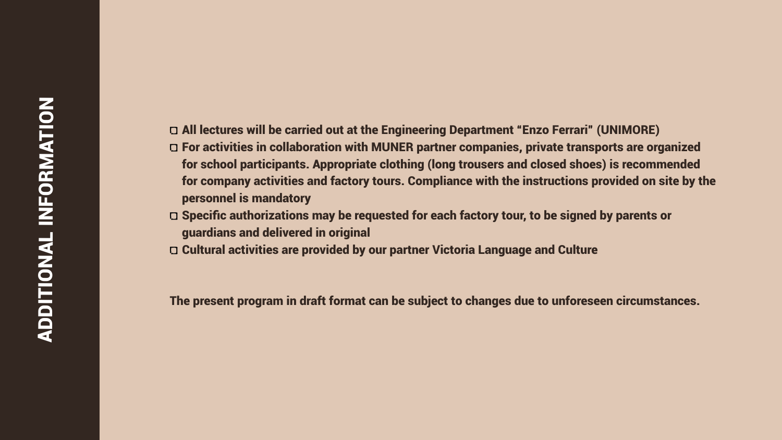- All lectures will be carried out at the Engineering Department "Enzo Ferrari" (UNIMORE) For activities in collaboration with MUNER partner companies, private transports are organized for school participants. Appropriate clothing (long trousers and closed shoes) is recommended for company activities and factory tours. Compliance with the instructions provided on site by the
- personnel is mandatory
- Specific authorizations may be requested for each factory tour, to be signed by parents or guardians and delivered in original
- Cultural activities are provided by our partner Victoria Language and Culture

The present program in draft format can be subject to changes due to unforeseen circumstances.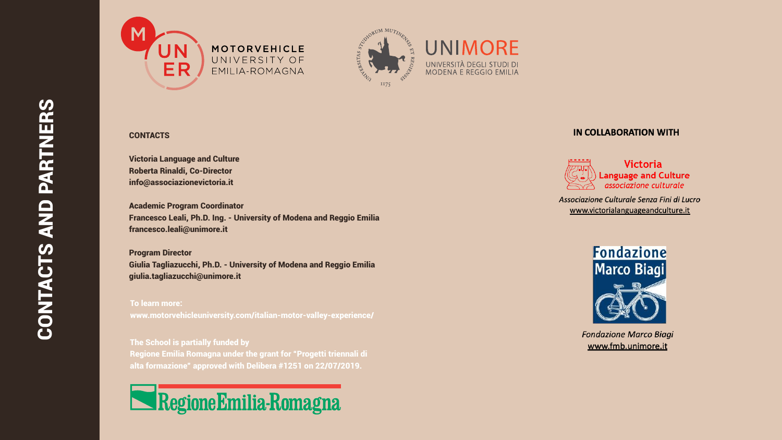Victoria Language and Culture Roberta Rinaldi, Co-Director info@associazionevictoria.it

Academic Program Coordinator Francesco Leali, Ph.D. Ing. - University of Modena and Reggio Emilia francesco.leali@unimore.it

Program Director Giulia Tagliazucchi, Ph.D. - University of Modena and Reggio Emilia giulia.tagliazucchi@unimore.it





### MOTORVEHICLE UNIVERSITY OF EMILIA-ROMAGNA

### **CONTACTS**

To learn more: www.motorvehicleuniversity.com/italian-motor-valley-experience/

The School is partially funded by Regione Emilia Romagna under the grant for "Progetti triennali di [alta formazione" approved with Delibera #1251 on 22/07/2019.](https://www.regione.emilia-romagna.it/)

# Regione Emilia-Romagna





### **IN COLLABORATION WITH**



Associazione Culturale Senza Fini di Lucro www.victorialanguageandculture.it



**Fondazione Marco Biagi** www.fmb.unimore.it